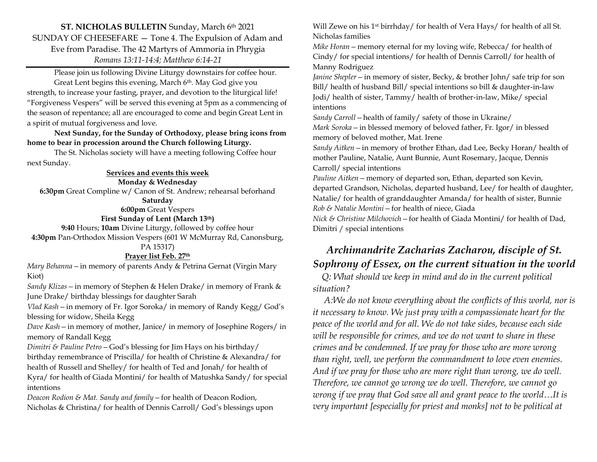**ST. NICHOLAS BULLETIN** Sunday, March 6th 2021 SUNDAY OF CHEESEFARE — Tone 4. The Expulsion of Adam and Eve from Paradise. The 42 Martyrs of Ammoria in Phrygia *Romans 13:11-14:4; Matthew 6:14-21*

Please join us following Divine Liturgy downstairs for coffee hour. Great Lent begins this evening, March 6th. May God give you strength, to increase your fasting, prayer, and devotion to the liturgical life! "Forgiveness Vespers" will be served this evening at 5pm as a commencing of the season of repentance; all are encouraged to come and begin Great Lent in a spirit of mutual forgiveness and love.

**Next Sunday, for the Sunday of Orthodoxy, please bring icons from home to bear in procession around the Church following Liturgy.** 

The St. Nicholas society will have a meeting following Coffee hour next Sunday.

#### **Services and events this week**

**Monday & Wednesday**

**6:30pm** Great Compline w/ Canon of St. Andrew; rehearsal beforhand

**Saturday**

**6:00pm** Great Vespers **First Sunday of Lent (March 13th)**

**9:40** Hours; **10am** Divine Liturgy, followed by coffee hour **4:30pm** Pan-Orthodox Mission Vespers (601 W McMurray Rd, Canonsburg,

### PA 15317)

## **Prayer list Feb. 27 th**

*Mary Behanna—*in memory of parents Andy & Petrina Gernat (Virgin Mary Kiot)

*Sandy Klizas—*in memory of Stephen & Helen Drake/ in memory of Frank & June Drake/ birthday blessings for daughter Sarah

*Vlad Kash—*in memory of Fr. Igor Soroka/ in memory of Randy Kegg/ God's blessing for widow, Sheila Kegg

*Dave Kash—*in memory of mother, Janice/ in memory of Josephine Rogers/ in memory of Randall Kegg

*Dimitri & Pauline Petro—*God's blessing for Jim Hays on his birthday/ birthday remembrance of Priscilla/ for health of Christine & Alexandra/ for health of Russell and Shelley/ for health of Ted and Jonah/ for health of Kyra/ for health of Giada Montini/ for health of Matushka Sandy/ for special intentions

*Deacon Rodion & Mat. Sandy and family—*for health of Deacon Rodion, Nicholas & Christina/ for health of Dennis Carroll/ God's blessings upon Will Zewe on his 1<sup>st</sup> birrhday/ for health of Vera Hays/ for health of all St. Nicholas families

*Mike Horan—*memory eternal for my loving wife, Rebecca/ for health of Cindy/ for special intentions/ for health of Dennis Carroll/ for health of Manny Rodriguez

*Janine Shepler—*in memory of sister, Becky, & brother John/ safe trip for son Bill/ health of husband Bill/ special intentions so bill & daughter-in-law Jodi/ health of sister, Tammy/ health of brother-in-law, Mike/ special intentions

*Sandy Carroll—*health of family/ safety of those in Ukraine/

*Mark Soroka—*in blessed memory of beloved father, Fr. Igor/ in blessed memory of beloved mother, Mat. Irene

*Sandy Aitken—*in memory of brother Ethan, dad Lee, Becky Horan/ health of mother Pauline, Natalie, Aunt Bunnie, Aunt Rosemary, Jacque, Dennis Carroll/ special intentions

*Pauline Aitken—*memory of departed son, Ethan, departed son Kevin, departed Grandson, Nicholas, departed husband, Lee/ for health of daughter, Natalie/ for health of granddaughter Amanda/ for health of sister, Bunnie *Rob & Natalie Montini—*for health of niece, Giada *Nick & Christine Milchovich—*for health of Giada Montini/ for health of Dad,

Dimitri / special intentions

## *Archimandrite Zacharias Zacharou, disciple of St. Sophrony of Essex, on the current situation in the world*

 *Q: What should we keep in mind and do in the current political situation?* 

 *A:We do not know everything about the conflicts of this world, nor is it necessary to know. We just pray with a compassionate heart for the peace of the world and for all. We do not take sides, because each side will be responsible for crimes, and we do not want to share in these crimes and be condemned. If we pray for those who are more wrong than right, well, we perform the commandment to love even enemies. And if we pray for those who are more right than wrong, we do well. Therefore, we cannot go wrong we do well. Therefore, we cannot go wrong if we pray that God save all and grant peace to the world…It is very important [especially for priest and monks] not to be political at*